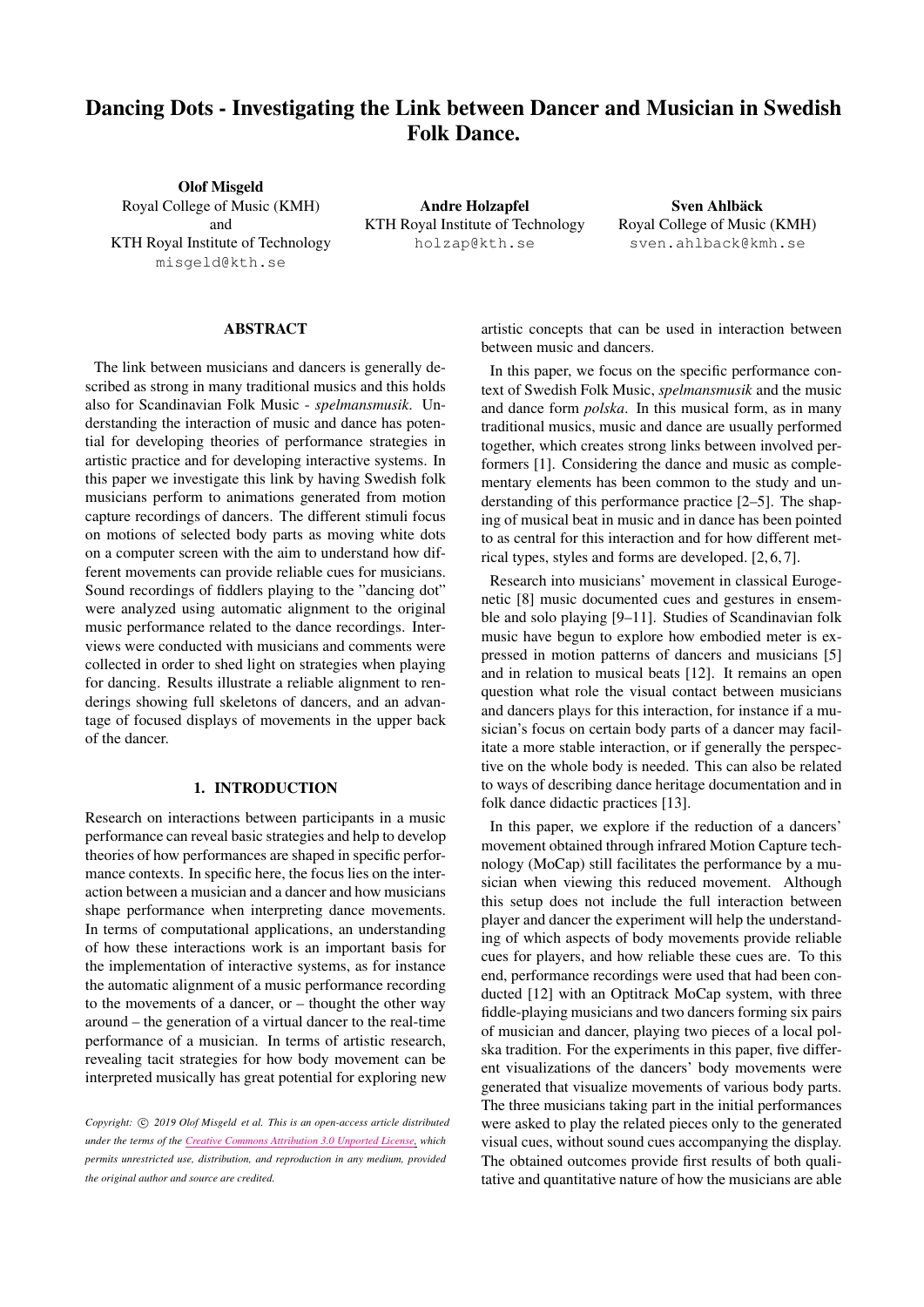# Dancing Dots - Investigating the Link between Dancer and Musician in Swedish Folk Dance.

Olof Misgeld Royal College of Music (KMH) and KTH Royal Institute of Technology [misgeld@kth.se](mailto:misgeld@kth.se)

Andre Holzapfel KTH Royal Institute of Technology [holzap@kth.se](mailto:holzap@kth.se)

Sven Ahlbäck Royal College of Music (KMH) [sven.ahlback@kmh.se](mailto:sven.ahlback@kmh.se)

## ABSTRACT

The link between musicians and dancers is generally described as strong in many traditional musics and this holds also for Scandinavian Folk Music - *spelmansmusik*. Understanding the interaction of music and dance has potential for developing theories of performance strategies in artistic practice and for developing interactive systems. In this paper we investigate this link by having Swedish folk musicians perform to animations generated from motion capture recordings of dancers. The different stimuli focus on motions of selected body parts as moving white dots on a computer screen with the aim to understand how different movements can provide reliable cues for musicians. Sound recordings of fiddlers playing to the "dancing dot" were analyzed using automatic alignment to the original music performance related to the dance recordings. Interviews were conducted with musicians and comments were collected in order to shed light on strategies when playing for dancing. Results illustrate a reliable alignment to renderings showing full skeletons of dancers, and an advantage of focused displays of movements in the upper back of the dancer.

# 1. INTRODUCTION

Research on interactions between participants in a music performance can reveal basic strategies and help to develop theories of how performances are shaped in specific performance contexts. In specific here, the focus lies on the interaction between a musician and a dancer and how musicians shape performance when interpreting dance movements. In terms of computational applications, an understanding of how these interactions work is an important basis for the implementation of interactive systems, as for instance the automatic alignment of a music performance recording to the movements of a dancer, or – thought the other way around – the generation of a virtual dancer to the real-time performance of a musician. In terms of artistic research, revealing tacit strategies for how body movement can be interpreted musically has great potential for exploring new artistic concepts that can be used in interaction between between music and dancers.

In this paper, we focus on the specific performance context of Swedish Folk Music, *spelmansmusik* and the music and dance form *polska*. In this musical form, as in many traditional musics, music and dance are usually performed together, which creates strong links between involved performers [\[1\]](#page-4-0). Considering the dance and music as complementary elements has been common to the study and understanding of this performance practice [\[2](#page-4-1)[–5\]](#page-5-0). The shaping of musical beat in music and in dance has been pointed to as central for this interaction and for how different metrical types, styles and forms are developed. [\[2,](#page-4-1) [6,](#page-5-1) [7\]](#page-5-2).

Research into musicians' movement in classical Eurogenetic [\[8\]](#page-5-3) music documented cues and gestures in ensemble and solo playing [\[9](#page-5-4)[–11\]](#page-5-5). Studies of Scandinavian folk music have begun to explore how embodied meter is expressed in motion patterns of dancers and musicians [\[5\]](#page-5-0) and in relation to musical beats [\[12\]](#page-5-6). It remains an open question what role the visual contact between musicians and dancers plays for this interaction, for instance if a musician's focus on certain body parts of a dancer may facilitate a more stable interaction, or if generally the perspective on the whole body is needed. This can also be related to ways of describing dance heritage documentation and in folk dance didactic practices [\[13\]](#page-5-7).

In this paper, we explore if the reduction of a dancers' movement obtained through infrared Motion Capture technology (MoCap) still facilitates the performance by a musician when viewing this reduced movement. Although this setup does not include the full interaction between player and dancer the experiment will help the understanding of which aspects of body movements provide reliable cues for players, and how reliable these cues are. To this end, performance recordings were used that had been conducted [\[12\]](#page-5-6) with an Optitrack MoCap system, with three fiddle-playing musicians and two dancers forming six pairs of musician and dancer, playing two pieces of a local polska tradition. For the experiments in this paper, five different visualizations of the dancers' body movements were generated that visualize movements of various body parts. The three musicians taking part in the initial performances were asked to play the related pieces only to the generated visual cues, without sound cues accompanying the display. The obtained outcomes provide first results of both qualitative and quantitative nature of how the musicians are able

*Copyright:*  $\circled{c}$  *2019 Olof Misgeld et al. This is an open-access article distributed under the terms of the Creative Commons [Attribution](http://creativecommons.org/licenses/by/3.0/) 3.0 Unported License, which permits unrestricted use, distribution, and reproduction in any medium, provided the original author and source are credited.*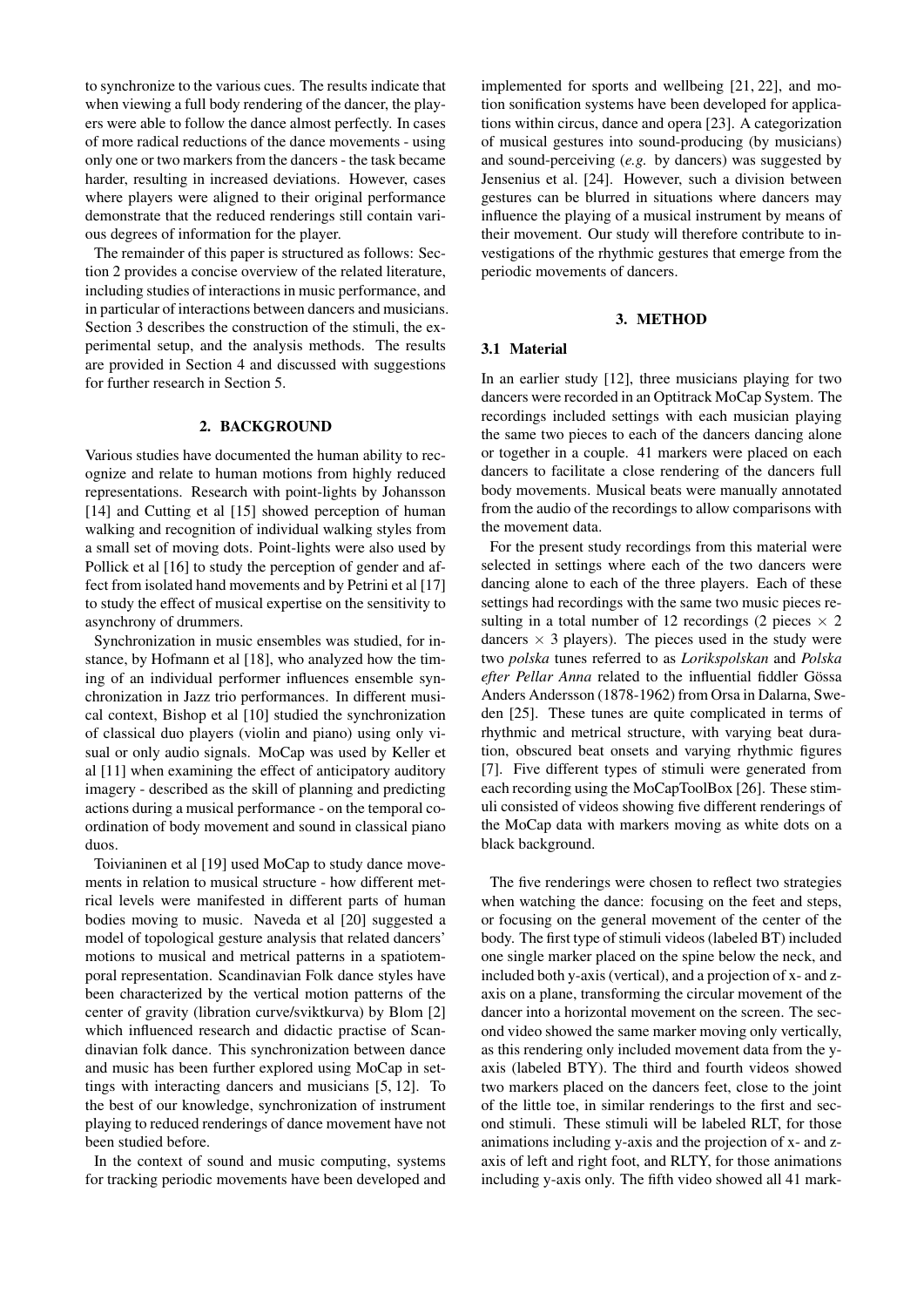to synchronize to the various cues. The results indicate that when viewing a full body rendering of the dancer, the players were able to follow the dance almost perfectly. In cases of more radical reductions of the dance movements - using only one or two markers from the dancers - the task became harder, resulting in increased deviations. However, cases where players were aligned to their original performance demonstrate that the reduced renderings still contain various degrees of information for the player.

The remainder of this paper is structured as follows: Section [2](#page-1-0) provides a concise overview of the related literature, including studies of interactions in music performance, and in particular of interactions between dancers and musicians. Section [3](#page-1-1) describes the construction of the stimuli, the experimental setup, and the analysis methods. The results are provided in Section [4](#page-3-0) and discussed with suggestions for further research in Section [5.](#page-4-2)

#### 2. BACKGROUND

<span id="page-1-0"></span>Various studies have documented the human ability to recognize and relate to human motions from highly reduced representations. Research with point-lights by Johansson [\[14\]](#page-5-8) and Cutting et al [\[15\]](#page-5-9) showed perception of human walking and recognition of individual walking styles from a small set of moving dots. Point-lights were also used by Pollick et al [\[16\]](#page-5-10) to study the perception of gender and affect from isolated hand movements and by Petrini et al [\[17\]](#page-5-11) to study the effect of musical expertise on the sensitivity to asynchrony of drummers.

Synchronization in music ensembles was studied, for instance, by Hofmann et al [\[18\]](#page-5-12), who analyzed how the timing of an individual performer influences ensemble synchronization in Jazz trio performances. In different musical context, Bishop et al [\[10\]](#page-5-13) studied the synchronization of classical duo players (violin and piano) using only visual or only audio signals. MoCap was used by Keller et al [\[11\]](#page-5-5) when examining the effect of anticipatory auditory imagery - described as the skill of planning and predicting actions during a musical performance - on the temporal coordination of body movement and sound in classical piano duos.

Toivianinen et al [\[19\]](#page-5-14) used MoCap to study dance movements in relation to musical structure - how different metrical levels were manifested in different parts of human bodies moving to music. Naveda et al [\[20\]](#page-5-15) suggested a model of topological gesture analysis that related dancers' motions to musical and metrical patterns in a spatiotemporal representation. Scandinavian Folk dance styles have been characterized by the vertical motion patterns of the center of gravity (libration curve/sviktkurva) by Blom [\[2\]](#page-4-1) which influenced research and didactic practise of Scandinavian folk dance. This synchronization between dance and music has been further explored using MoCap in settings with interacting dancers and musicians [\[5,](#page-5-0) [12\]](#page-5-6). To the best of our knowledge, synchronization of instrument playing to reduced renderings of dance movement have not been studied before.

In the context of sound and music computing, systems for tracking periodic movements have been developed and implemented for sports and wellbeing [\[21,](#page-5-16) [22\]](#page-5-17), and motion sonification systems have been developed for applications within circus, dance and opera [\[23\]](#page-5-18). A categorization of musical gestures into sound-producing (by musicians) and sound-perceiving (*e.g.* by dancers) was suggested by Jensenius et al. [\[24\]](#page-5-19). However, such a division between gestures can be blurred in situations where dancers may influence the playing of a musical instrument by means of their movement. Our study will therefore contribute to investigations of the rhythmic gestures that emerge from the periodic movements of dancers.

## 3. METHOD

## <span id="page-1-1"></span>3.1 Material

In an earlier study [\[12\]](#page-5-6), three musicians playing for two dancers were recorded in an Optitrack MoCap System. The recordings included settings with each musician playing the same two pieces to each of the dancers dancing alone or together in a couple. 41 markers were placed on each dancers to facilitate a close rendering of the dancers full body movements. Musical beats were manually annotated from the audio of the recordings to allow comparisons with the movement data.

For the present study recordings from this material were selected in settings where each of the two dancers were dancing alone to each of the three players. Each of these settings had recordings with the same two music pieces resulting in a total number of 12 recordings (2 pieces  $\times$  2 dancers  $\times$  3 players). The pieces used in the study were two *polska* tunes referred to as *Lorikspolskan* and *Polska* efter Pellar Anna related to the influential fiddler Gössa Anders Andersson (1878-1962) from Orsa in Dalarna, Sweden [\[25\]](#page-5-20). These tunes are quite complicated in terms of rhythmic and metrical structure, with varying beat duration, obscured beat onsets and varying rhythmic figures [\[7\]](#page-5-2). Five different types of stimuli were generated from each recording using the MoCapToolBox [\[26\]](#page-5-21). These stimuli consisted of videos showing five different renderings of the MoCap data with markers moving as white dots on a black background.

The five renderings were chosen to reflect two strategies when watching the dance: focusing on the feet and steps, or focusing on the general movement of the center of the body. The first type of stimuli videos (labeled BT) included one single marker placed on the spine below the neck, and included both y-axis (vertical), and a projection of x- and zaxis on a plane, transforming the circular movement of the dancer into a horizontal movement on the screen. The second video showed the same marker moving only vertically, as this rendering only included movement data from the yaxis (labeled BTY). The third and fourth videos showed two markers placed on the dancers feet, close to the joint of the little toe, in similar renderings to the first and second stimuli. These stimuli will be labeled RLT, for those animations including y-axis and the projection of x- and zaxis of left and right foot, and RLTY, for those animations including y-axis only. The fifth video showed all 41 mark-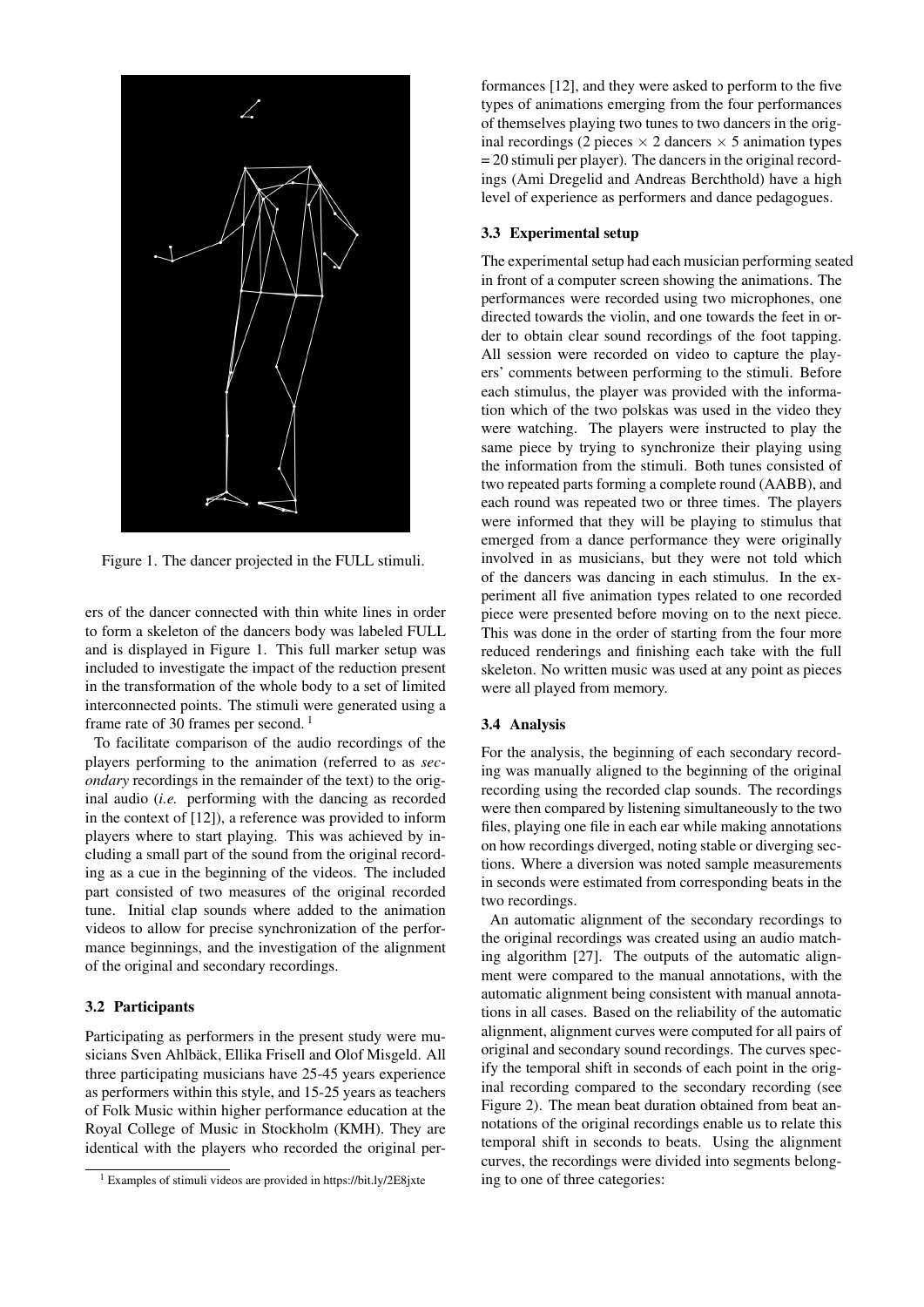<span id="page-2-0"></span>

Figure 1. The dancer projected in the FULL stimuli.

ers of the dancer connected with thin white lines in order to form a skeleton of the dancers body was labeled FULL and is displayed in Figure [1.](#page-2-0) This full marker setup was included to investigate the impact of the reduction present in the transformation of the whole body to a set of limited interconnected points. The stimuli were generated using a frame rate of 30 frames per second.<sup>[1](#page-2-1)</sup>

To facilitate comparison of the audio recordings of the players performing to the animation (referred to as *secondary* recordings in the remainder of the text) to the original audio (*i.e.* performing with the dancing as recorded in the context of [\[12\]](#page-5-6)), a reference was provided to inform players where to start playing. This was achieved by including a small part of the sound from the original recording as a cue in the beginning of the videos. The included part consisted of two measures of the original recorded tune. Initial clap sounds where added to the animation videos to allow for precise synchronization of the performance beginnings, and the investigation of the alignment of the original and secondary recordings.

### 3.2 Participants

Participating as performers in the present study were musicians Sven Ahlbäck, Ellika Frisell and Olof Misgeld. All three participating musicians have 25-45 years experience as performers within this style, and 15-25 years as teachers of Folk Music within higher performance education at the Royal College of Music in Stockholm (KMH). They are identical with the players who recorded the original performances [\[12\]](#page-5-6), and they were asked to perform to the five types of animations emerging from the four performances of themselves playing two tunes to two dancers in the original recordings (2 pieces  $\times$  2 dancers  $\times$  5 animation types = 20 stimuli per player). The dancers in the original recordings (Ami Dregelid and Andreas Berchthold) have a high level of experience as performers and dance pedagogues.

## 3.3 Experimental setup

The experimental setup had each musician performing seated in front of a computer screen showing the animations. The performances were recorded using two microphones, one directed towards the violin, and one towards the feet in order to obtain clear sound recordings of the foot tapping. All session were recorded on video to capture the players' comments between performing to the stimuli. Before each stimulus, the player was provided with the information which of the two polskas was used in the video they were watching. The players were instructed to play the same piece by trying to synchronize their playing using the information from the stimuli. Both tunes consisted of two repeated parts forming a complete round (AABB), and each round was repeated two or three times. The players were informed that they will be playing to stimulus that emerged from a dance performance they were originally involved in as musicians, but they were not told which of the dancers was dancing in each stimulus. In the experiment all five animation types related to one recorded piece were presented before moving on to the next piece. This was done in the order of starting from the four more reduced renderings and finishing each take with the full skeleton. No written music was used at any point as pieces were all played from memory.

## <span id="page-2-2"></span>3.4 Analysis

For the analysis, the beginning of each secondary recording was manually aligned to the beginning of the original recording using the recorded clap sounds. The recordings were then compared by listening simultaneously to the two files, playing one file in each ear while making annotations on how recordings diverged, noting stable or diverging sections. Where a diversion was noted sample measurements in seconds were estimated from corresponding beats in the two recordings.

An automatic alignment of the secondary recordings to the original recordings was created using an audio matching algorithm [\[27\]](#page-5-22). The outputs of the automatic alignment were compared to the manual annotations, with the automatic alignment being consistent with manual annotations in all cases. Based on the reliability of the automatic alignment, alignment curves were computed for all pairs of original and secondary sound recordings. The curves specify the temporal shift in seconds of each point in the original recording compared to the secondary recording (see Figure [2\)](#page-3-1). The mean beat duration obtained from beat annotations of the original recordings enable us to relate this temporal shift in seconds to beats. Using the alignment curves, the recordings were divided into segments belonging to one of three categories:

<span id="page-2-1"></span><sup>1</sup> Examples of stimuli videos are provided in <https://bit.ly/2E8jxte>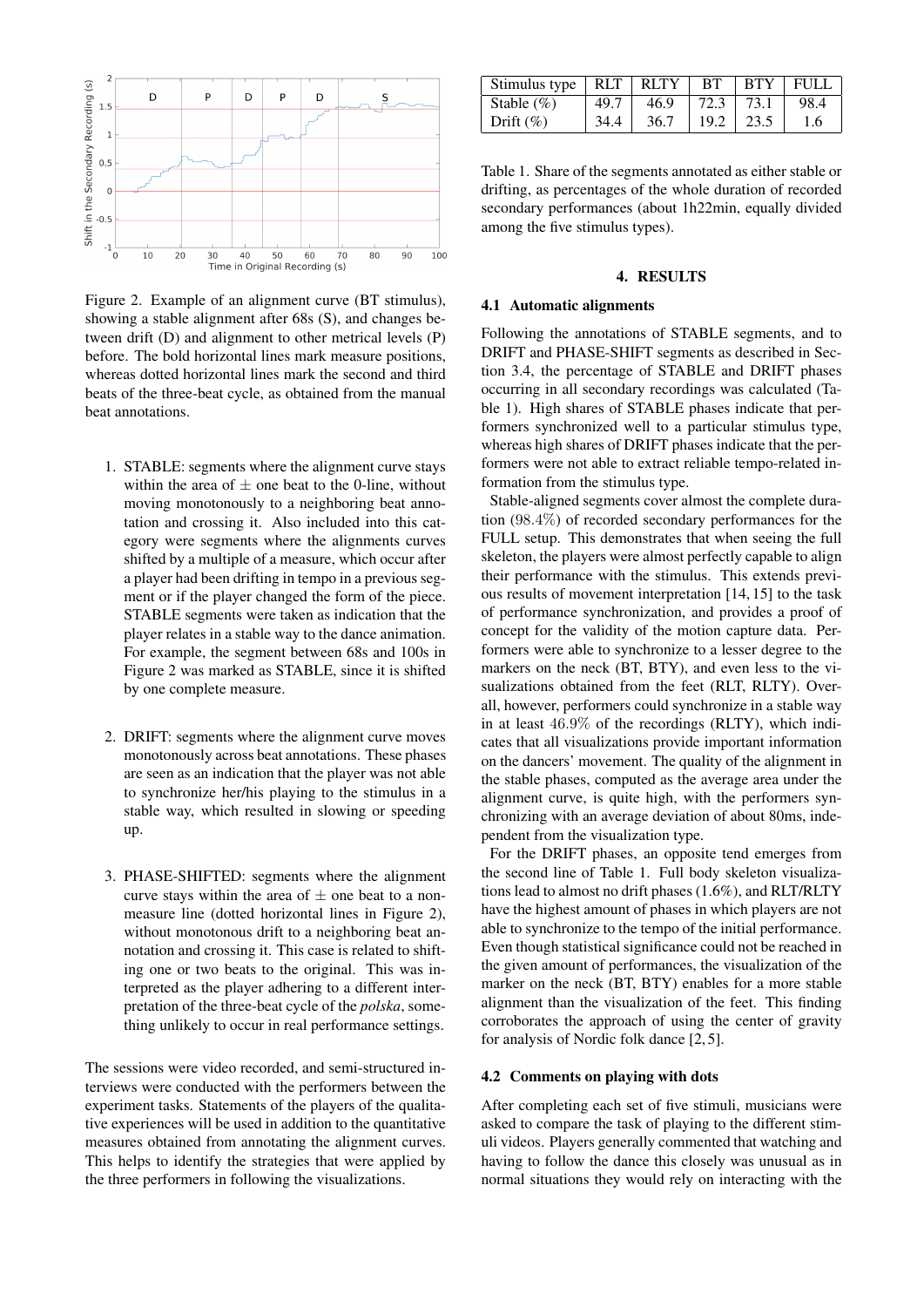<span id="page-3-1"></span>

Figure 2. Example of an alignment curve (BT stimulus), showing a stable alignment after 68s (S), and changes between drift (D) and alignment to other metrical levels (P) before. The bold horizontal lines mark measure positions, whereas dotted horizontal lines mark the second and third beats of the three-beat cycle, as obtained from the manual beat annotations.

- 1. STABLE: segments where the alignment curve stays within the area of  $\pm$  one beat to the 0-line, without moving monotonously to a neighboring beat annotation and crossing it. Also included into this category were segments where the alignments curves shifted by a multiple of a measure, which occur after a player had been drifting in tempo in a previous segment or if the player changed the form of the piece. STABLE segments were taken as indication that the player relates in a stable way to the dance animation. For example, the segment between 68s and 100s in Figure [2](#page-3-1) was marked as STABLE, since it is shifted by one complete measure.
- 2. DRIFT: segments where the alignment curve moves monotonously across beat annotations. These phases are seen as an indication that the player was not able to synchronize her/his playing to the stimulus in a stable way, which resulted in slowing or speeding up.
- 3. PHASE-SHIFTED: segments where the alignment curve stays within the area of  $\pm$  one beat to a nonmeasure line (dotted horizontal lines in Figure [2\)](#page-3-1), without monotonous drift to a neighboring beat annotation and crossing it. This case is related to shifting one or two beats to the original. This was interpreted as the player adhering to a different interpretation of the three-beat cycle of the *polska*, something unlikely to occur in real performance settings.

The sessions were video recorded, and semi-structured interviews were conducted with the performers between the experiment tasks. Statements of the players of the qualitative experiences will be used in addition to the quantitative measures obtained from annotating the alignment curves. This helps to identify the strategies that were applied by the three performers in following the visualizations.

<span id="page-3-2"></span>

| Stimulus type $\vert$ RLT $\vert$ |      | <b>RLTY</b> | BT   | <b>BTY</b> | FULL |
|-----------------------------------|------|-------------|------|------------|------|
| Stable $(\% )$                    | 49.7 | 46.9        | 72.3 | 73.1       | 98.4 |
| Drift $(\%)$                      | 34.4 | 36.7        | 19.2 | 23.5       | 1.6  |

Table 1. Share of the segments annotated as either stable or drifting, as percentages of the whole duration of recorded secondary performances (about 1h22min, equally divided among the five stimulus types).

# 4. RESULTS

#### <span id="page-3-0"></span>4.1 Automatic alignments

Following the annotations of STABLE segments, and to DRIFT and PHASE-SHIFT segments as described in Section [3.4,](#page-2-2) the percentage of STABLE and DRIFT phases occurring in all secondary recordings was calculated (Table [1\)](#page-3-2). High shares of STABLE phases indicate that performers synchronized well to a particular stimulus type, whereas high shares of DRIFT phases indicate that the performers were not able to extract reliable tempo-related information from the stimulus type.

Stable-aligned segments cover almost the complete duration (98.4%) of recorded secondary performances for the FULL setup. This demonstrates that when seeing the full skeleton, the players were almost perfectly capable to align their performance with the stimulus. This extends previous results of movement interpretation [\[14,](#page-5-8) [15\]](#page-5-9) to the task of performance synchronization, and provides a proof of concept for the validity of the motion capture data. Performers were able to synchronize to a lesser degree to the markers on the neck (BT, BTY), and even less to the visualizations obtained from the feet (RLT, RLTY). Overall, however, performers could synchronize in a stable way in at least 46.9% of the recordings (RLTY), which indicates that all visualizations provide important information on the dancers' movement. The quality of the alignment in the stable phases, computed as the average area under the alignment curve, is quite high, with the performers synchronizing with an average deviation of about 80ms, independent from the visualization type.

For the DRIFT phases, an opposite tend emerges from the second line of Table [1.](#page-3-2) Full body skeleton visualizations lead to almost no drift phases (1.6%), and RLT/RLTY have the highest amount of phases in which players are not able to synchronize to the tempo of the initial performance. Even though statistical significance could not be reached in the given amount of performances, the visualization of the marker on the neck (BT, BTY) enables for a more stable alignment than the visualization of the feet. This finding corroborates the approach of using the center of gravity for analysis of Nordic folk dance [\[2,](#page-4-1) [5\]](#page-5-0).

# 4.2 Comments on playing with dots

After completing each set of five stimuli, musicians were asked to compare the task of playing to the different stimuli videos. Players generally commented that watching and having to follow the dance this closely was unusual as in normal situations they would rely on interacting with the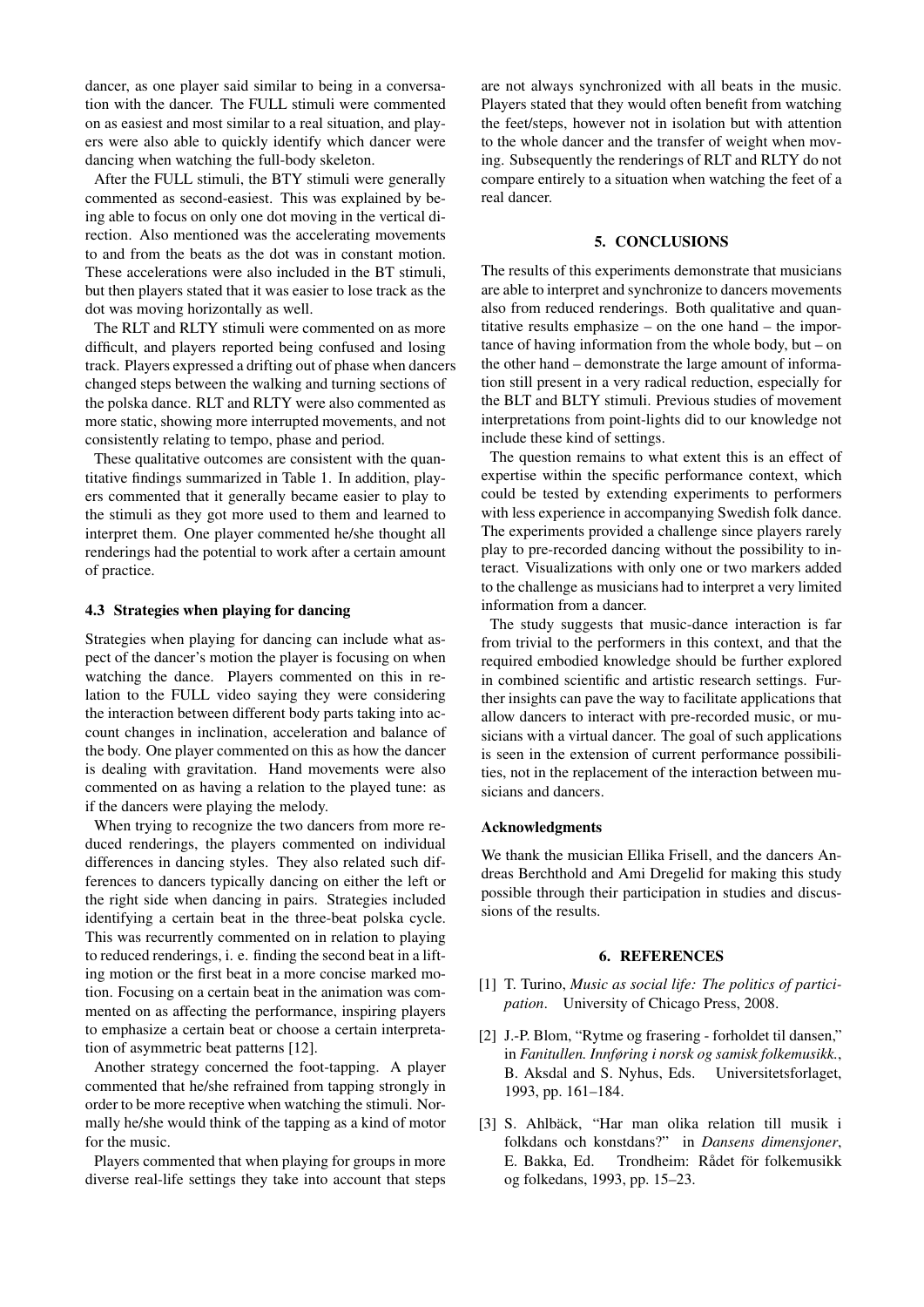dancer, as one player said similar to being in a conversation with the dancer. The FULL stimuli were commented on as easiest and most similar to a real situation, and players were also able to quickly identify which dancer were dancing when watching the full-body skeleton.

After the FULL stimuli, the BTY stimuli were generally commented as second-easiest. This was explained by being able to focus on only one dot moving in the vertical direction. Also mentioned was the accelerating movements to and from the beats as the dot was in constant motion. These accelerations were also included in the BT stimuli, but then players stated that it was easier to lose track as the dot was moving horizontally as well.

The RLT and RLTY stimuli were commented on as more difficult, and players reported being confused and losing track. Players expressed a drifting out of phase when dancers changed steps between the walking and turning sections of the polska dance. RLT and RLTY were also commented as more static, showing more interrupted movements, and not consistently relating to tempo, phase and period.

These qualitative outcomes are consistent with the quantitative findings summarized in Table [1.](#page-3-2) In addition, players commented that it generally became easier to play to the stimuli as they got more used to them and learned to interpret them. One player commented he/she thought all renderings had the potential to work after a certain amount of practice.

## 4.3 Strategies when playing for dancing

Strategies when playing for dancing can include what aspect of the dancer's motion the player is focusing on when watching the dance. Players commented on this in relation to the FULL video saying they were considering the interaction between different body parts taking into account changes in inclination, acceleration and balance of the body. One player commented on this as how the dancer is dealing with gravitation. Hand movements were also commented on as having a relation to the played tune: as if the dancers were playing the melody.

When trying to recognize the two dancers from more reduced renderings, the players commented on individual differences in dancing styles. They also related such differences to dancers typically dancing on either the left or the right side when dancing in pairs. Strategies included identifying a certain beat in the three-beat polska cycle. This was recurrently commented on in relation to playing to reduced renderings, i. e. finding the second beat in a lifting motion or the first beat in a more concise marked motion. Focusing on a certain beat in the animation was commented on as affecting the performance, inspiring players to emphasize a certain beat or choose a certain interpretation of asymmetric beat patterns [\[12\]](#page-5-6).

Another strategy concerned the foot-tapping. A player commented that he/she refrained from tapping strongly in order to be more receptive when watching the stimuli. Normally he/she would think of the tapping as a kind of motor for the music.

Players commented that when playing for groups in more diverse real-life settings they take into account that steps are not always synchronized with all beats in the music. Players stated that they would often benefit from watching the feet/steps, however not in isolation but with attention to the whole dancer and the transfer of weight when moving. Subsequently the renderings of RLT and RLTY do not compare entirely to a situation when watching the feet of a real dancer.

#### 5. CONCLUSIONS

<span id="page-4-2"></span>The results of this experiments demonstrate that musicians are able to interpret and synchronize to dancers movements also from reduced renderings. Both qualitative and quantitative results emphasize – on the one hand – the importance of having information from the whole body, but – on the other hand – demonstrate the large amount of information still present in a very radical reduction, especially for the BLT and BLTY stimuli. Previous studies of movement interpretations from point-lights did to our knowledge not include these kind of settings.

The question remains to what extent this is an effect of expertise within the specific performance context, which could be tested by extending experiments to performers with less experience in accompanying Swedish folk dance. The experiments provided a challenge since players rarely play to pre-recorded dancing without the possibility to interact. Visualizations with only one or two markers added to the challenge as musicians had to interpret a very limited information from a dancer.

The study suggests that music-dance interaction is far from trivial to the performers in this context, and that the required embodied knowledge should be further explored in combined scientific and artistic research settings. Further insights can pave the way to facilitate applications that allow dancers to interact with pre-recorded music, or musicians with a virtual dancer. The goal of such applications is seen in the extension of current performance possibilities, not in the replacement of the interaction between musicians and dancers.

#### Acknowledgments

We thank the musician Ellika Frisell, and the dancers Andreas Berchthold and Ami Dregelid for making this study possible through their participation in studies and discussions of the results.

## 6. REFERENCES

- <span id="page-4-0"></span>[1] T. Turino, *Music as social life: The politics of participation*. University of Chicago Press, 2008.
- <span id="page-4-1"></span>[2] J.-P. Blom, "Rytme og frasering - forholdet til dansen," in *Fanitullen. Innføring i norsk og samisk folkemusikk.*, B. Aksdal and S. Nyhus, Eds. Universitetsforlaget, 1993, pp. 161–184.
- [3] S. Ahlbäck, "Har man olika relation till musik i folkdans och konstdans?" in *Dansens dimensjoner*, E. Bakka, Ed. Trondheim: Rådet för folkemusikk og folkedans, 1993, pp. 15–23.